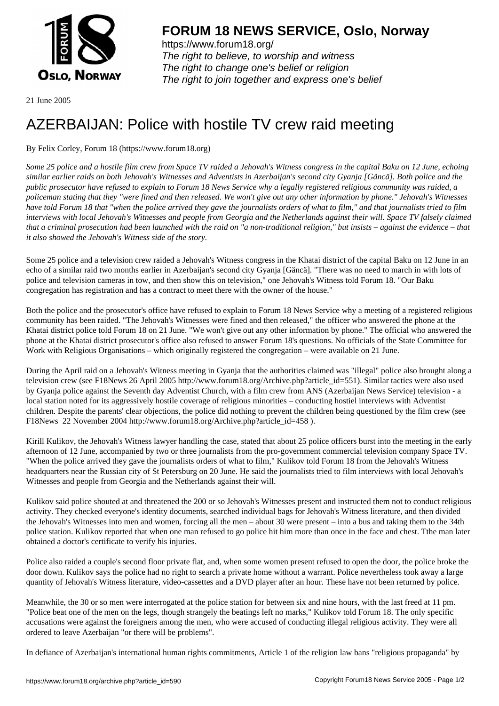

https://www.forum18.org/ The right to believe, to worship and witness The right to change one's belief or religion [The right to join together a](https://www.forum18.org/)nd express one's belief

21 June 2005

## [AZERBAIJAN: P](https://www.forum18.org)olice with hostile TV crew raid meeting

By Felix Corley, Forum 18 (https://www.forum18.org)

*Some 25 police and a hostile film crew from Space TV raided a Jehovah's Witness congress in the capital Baku on 12 June, echoing similar earlier raids on both Jehovah's Witnesses and Adventists in Azerbaijan's second city Gyanja [Gäncä]. Both police and the public prosecutor have refused to explain to Forum 18 News Service why a legally registered religious community was raided, a policeman stating that they "were fined and then released. We won't give out any other information by phone." Jehovah's Witnesses have told Forum 18 that "when the police arrived they gave the journalists orders of what to film," and that journalists tried to film interviews with local Jehovah's Witnesses and people from Georgia and the Netherlands against their will. Space TV falsely claimed that a criminal prosecution had been launched with the raid on "a non-traditional religion," but insists – against the evidence – that it also showed the Jehovah's Witness side of the story.*

Some 25 police and a television crew raided a Jehovah's Witness congress in the Khatai district of the capital Baku on 12 June in an echo of a similar raid two months earlier in Azerbaijan's second city Gyanja [Gäncä]. "There was no need to march in with lots of police and television cameras in tow, and then show this on television," one Jehovah's Witness told Forum 18. "Our Baku congregation has registration and has a contract to meet there with the owner of the house."

Both the police and the prosecutor's office have refused to explain to Forum 18 News Service why a meeting of a registered religious community has been raided. "The Jehovah's Witnesses were fined and then released," the officer who answered the phone at the Khatai district police told Forum 18 on 21 June. "We won't give out any other information by phone." The official who answered the phone at the Khatai district prosecutor's office also refused to answer Forum 18's questions. No officials of the State Committee for Work with Religious Organisations – which originally registered the congregation – were available on 21 June.

During the April raid on a Jehovah's Witness meeting in Gyanja that the authorities claimed was "illegal" police also brought along a television crew (see F18News 26 April 2005 http://www.forum18.org/Archive.php?article\_id=551). Similar tactics were also used by Gyanja police against the Seventh day Adventist Church, with a film crew from ANS (Azerbaijan News Service) television - a local station noted for its aggressively hostile coverage of religious minorities – conducting hostiel interviews with Adventist children. Despite the parents' clear objections, the police did nothing to prevent the children being questioned by the film crew (see F18News 22 November 2004 http://www.forum18.org/Archive.php?article\_id=458 ).

Kirill Kulikov, the Jehovah's Witness lawyer handling the case, stated that about 25 police officers burst into the meeting in the early afternoon of 12 June, accompanied by two or three journalists from the pro-government commercial television company Space TV. "When the police arrived they gave the journalists orders of what to film," Kulikov told Forum 18 from the Jehovah's Witness headquarters near the Russian city of St Petersburg on 20 June. He said the journalists tried to film interviews with local Jehovah's Witnesses and people from Georgia and the Netherlands against their will.

Kulikov said police shouted at and threatened the 200 or so Jehovah's Witnesses present and instructed them not to conduct religious activity. They checked everyone's identity documents, searched individual bags for Jehovah's Witness literature, and then divided the Jehovah's Witnesses into men and women, forcing all the men – about 30 were present – into a bus and taking them to the 34th police station. Kulikov reported that when one man refused to go police hit him more than once in the face and chest. Tthe man later obtained a doctor's certificate to verify his injuries.

Police also raided a couple's second floor private flat, and, when some women present refused to open the door, the police broke the door down. Kulikov says the police had no right to search a private home without a warrant. Police nevertheless took away a large quantity of Jehovah's Witness literature, video-cassettes and a DVD player after an hour. These have not been returned by police.

Meanwhile, the 30 or so men were interrogated at the police station for between six and nine hours, with the last freed at 11 pm. "Police beat one of the men on the legs, though strangely the beatings left no marks," Kulikov told Forum 18. The only specific accusations were against the foreigners among the men, who were accused of conducting illegal religious activity. They were all ordered to leave Azerbaijan "or there will be problems".

In defiance of Azerbaijan's international human rights commitments, Article 1 of the religion law bans "religious propaganda" by